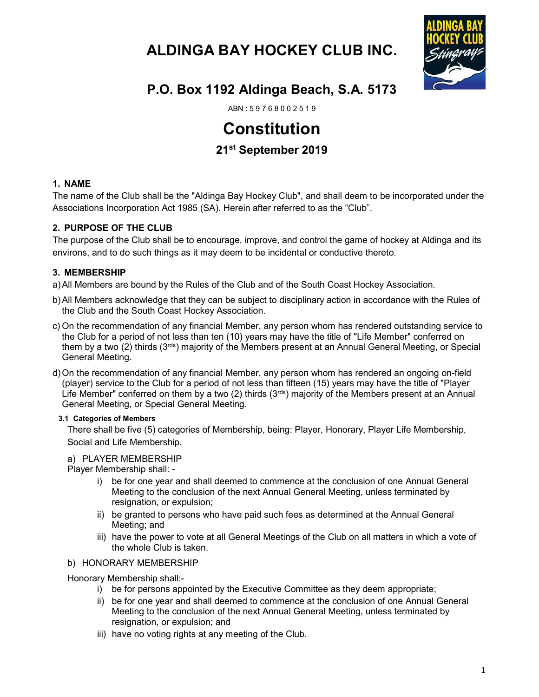# ALDINGA BAY HOCKEY CLUB INC.



# P.O. Box 1192 Aldinga Beach, S.A. 5173

ABN : 5 9 7 6 8 0 0 2 5 1 9

# Constitution

# 21st September 2019

## 1. NAME

The name of the Club shall be the "Aldinga Bay Hockey Club", and shall deem to be incorporated under the Associations Incorporation Act 1985 (SA). Herein after referred to as the "Club".

# 2. PURPOSE OF THE CLUB

The purpose of the Club shall be to encourage, improve, and control the game of hockey at Aldinga and its environs, and to do such things as it may deem to be incidental or conductive thereto.

## 3. MEMBERSHIP

a) All Members are bound by the Rules of the Club and of the South Coast Hockey Association.

- b) All Members acknowledge that they can be subject to disciplinary action in accordance with the Rules of the Club and the South Coast Hockey Association.
- c) On the recommendation of any financial Member, any person whom has rendered outstanding service to the Club for a period of not less than ten (10) years may have the title of "Life Member" conferred on them by a two (2) thirds ( $3<sup>rds</sup>$ ) majority of the Members present at an Annual General Meeting, or Special General Meeting.
- d) On the recommendation of any financial Member, any person whom has rendered an ongoing on-field (player) service to the Club for a period of not less than fifteen (15) years may have the title of "Player Life Member" conferred on them by a two (2) thirds ( $3<sup>rds</sup>$ ) majority of the Members present at an Annual General Meeting, or Special General Meeting.

#### 3.1 Categories of Members

There shall be five (5) categories of Membership, being: Player, Honorary, Player Life Membership, Social and Life Membership.

#### a) PLAYER MEMBERSHIP

Player Membership shall: -

- i) be for one year and shall deemed to commence at the conclusion of one Annual General Meeting to the conclusion of the next Annual General Meeting, unless terminated by resignation, or expulsion;
- ii) be granted to persons who have paid such fees as determined at the Annual General Meeting; and
- iii) have the power to vote at all General Meetings of the Club on all matters in which a vote of the whole Club is taken.

## b) HONORARY MEMBERSHIP

Honorary Membership shall:-

- i) be for persons appointed by the Executive Committee as they deem appropriate;
- ii) be for one year and shall deemed to commence at the conclusion of one Annual General Meeting to the conclusion of the next Annual General Meeting, unless terminated by resignation, or expulsion; and
- iii) have no voting rights at any meeting of the Club.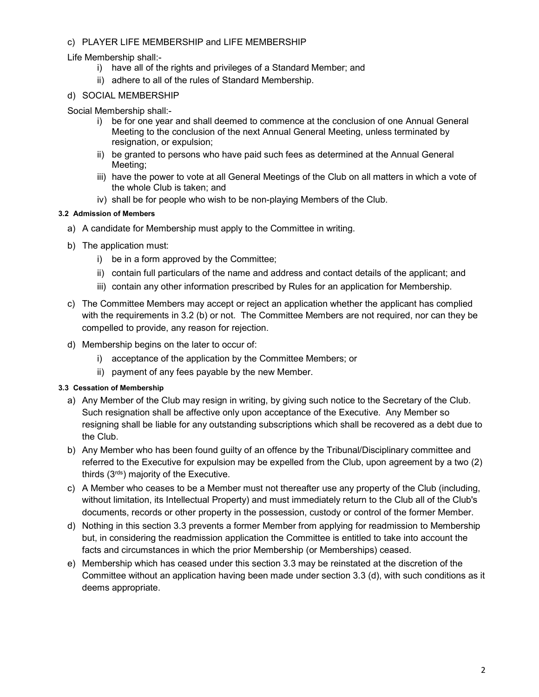## c) PLAYER LIFE MEMBERSHIP and LIFE MEMBERSHIP

#### Life Membership shall:-

- i) have all of the rights and privileges of a Standard Member; and
- ii) adhere to all of the rules of Standard Membership.

#### d) SOCIAL MEMBERSHIP

Social Membership shall:-

- i) be for one year and shall deemed to commence at the conclusion of one Annual General Meeting to the conclusion of the next Annual General Meeting, unless terminated by resignation, or expulsion;
- ii) be granted to persons who have paid such fees as determined at the Annual General Meeting;
- iii) have the power to vote at all General Meetings of the Club on all matters in which a vote of the whole Club is taken; and
- iv) shall be for people who wish to be non-playing Members of the Club.

## 3.2 Admission of Members

- a) A candidate for Membership must apply to the Committee in writing.
- b) The application must:
	- i) be in a form approved by the Committee;
	- ii) contain full particulars of the name and address and contact details of the applicant; and
	- iii) contain any other information prescribed by Rules for an application for Membership.
- c) The Committee Members may accept or reject an application whether the applicant has complied with the requirements in 3.2 (b) or not. The Committee Members are not required, nor can they be compelled to provide, any reason for rejection.
- d) Membership begins on the later to occur of:
	- i) acceptance of the application by the Committee Members; or
	- ii) payment of any fees payable by the new Member.

#### 3.3 Cessation of Membership

- a) Any Member of the Club may resign in writing, by giving such notice to the Secretary of the Club. Such resignation shall be affective only upon acceptance of the Executive. Any Member so resigning shall be liable for any outstanding subscriptions which shall be recovered as a debt due to the Club.
- b) Any Member who has been found guilty of an offence by the Tribunal/Disciplinary committee and referred to the Executive for expulsion may be expelled from the Club, upon agreement by a two (2) thirds  $(3<sup>rds</sup>)$  majority of the Executive.
- c) A Member who ceases to be a Member must not thereafter use any property of the Club (including, without limitation, its Intellectual Property) and must immediately return to the Club all of the Club's documents, records or other property in the possession, custody or control of the former Member.
- d) Nothing in this section 3.3 prevents a former Member from applying for readmission to Membership but, in considering the readmission application the Committee is entitled to take into account the facts and circumstances in which the prior Membership (or Memberships) ceased.
- e) Membership which has ceased under this section 3.3 may be reinstated at the discretion of the Committee without an application having been made under section 3.3 (d), with such conditions as it deems appropriate.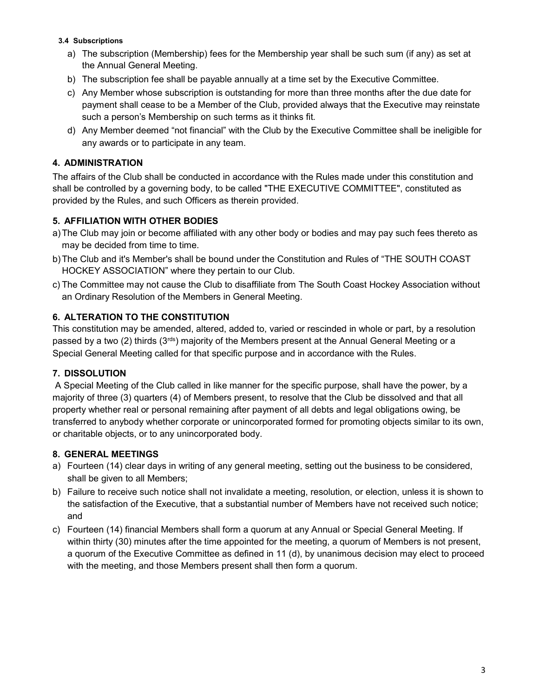#### 3.4 Subscriptions

- a) The subscription (Membership) fees for the Membership year shall be such sum (if any) as set at the Annual General Meeting.
- b) The subscription fee shall be payable annually at a time set by the Executive Committee.
- c) Any Member whose subscription is outstanding for more than three months after the due date for payment shall cease to be a Member of the Club, provided always that the Executive may reinstate such a person's Membership on such terms as it thinks fit.
- d) Any Member deemed "not financial" with the Club by the Executive Committee shall be ineligible for any awards or to participate in any team.

#### 4. ADMINISTRATION

The affairs of the Club shall be conducted in accordance with the Rules made under this constitution and shall be controlled by a governing body, to be called "THE EXECUTIVE COMMITTEE", constituted as provided by the Rules, and such Officers as therein provided.

#### 5. AFFILIATION WITH OTHER BODIES

- a) The Club may join or become affiliated with any other body or bodies and may pay such fees thereto as may be decided from time to time.
- b) The Club and it's Member's shall be bound under the Constitution and Rules of "THE SOUTH COAST HOCKEY ASSOCIATION" where they pertain to our Club.
- c) The Committee may not cause the Club to disaffiliate from The South Coast Hockey Association without an Ordinary Resolution of the Members in General Meeting.

## 6. ALTERATION TO THE CONSTITUTION

This constitution may be amended, altered, added to, varied or rescinded in whole or part, by a resolution passed by a two (2) thirds ( $3<sup>rds</sup>$ ) majority of the Members present at the Annual General Meeting or a Special General Meeting called for that specific purpose and in accordance with the Rules.

#### 7. DISSOLUTION

A Special Meeting of the Club called in like manner for the specific purpose, shall have the power, by a majority of three (3) quarters (4) of Members present, to resolve that the Club be dissolved and that all property whether real or personal remaining after payment of all debts and legal obligations owing, be transferred to anybody whether corporate or unincorporated formed for promoting objects similar to its own, or charitable objects, or to any unincorporated body.

#### 8. GENERAL MEETINGS

- a) Fourteen (14) clear days in writing of any general meeting, setting out the business to be considered, shall be given to all Members;
- b) Failure to receive such notice shall not invalidate a meeting, resolution, or election, unless it is shown to the satisfaction of the Executive, that a substantial number of Members have not received such notice; and
- c) Fourteen (14) financial Members shall form a quorum at any Annual or Special General Meeting. If within thirty (30) minutes after the time appointed for the meeting, a quorum of Members is not present, a quorum of the Executive Committee as defined in 11 (d), by unanimous decision may elect to proceed with the meeting, and those Members present shall then form a quorum.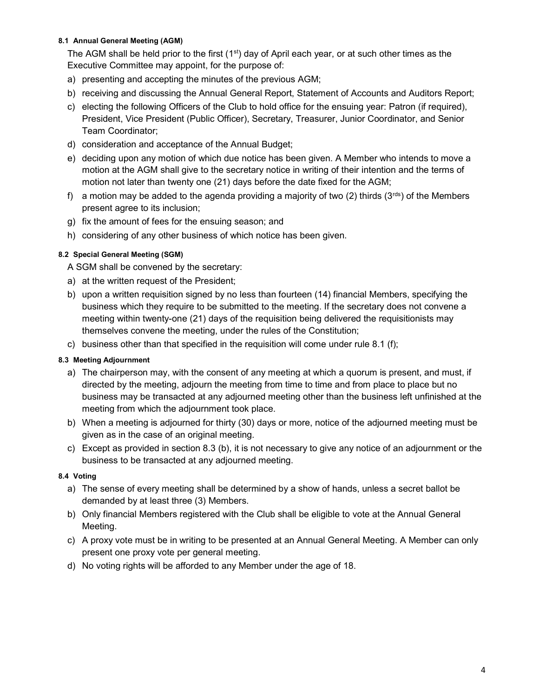#### 8.1 Annual General Meeting (AGM)

The AGM shall be held prior to the first  $(1<sup>st</sup>)$  day of April each year, or at such other times as the Executive Committee may appoint, for the purpose of:

- a) presenting and accepting the minutes of the previous AGM;
- b) receiving and discussing the Annual General Report, Statement of Accounts and Auditors Report;
- c) electing the following Officers of the Club to hold office for the ensuing year: Patron (if required), President, Vice President (Public Officer), Secretary, Treasurer, Junior Coordinator, and Senior Team Coordinator;
- d) consideration and acceptance of the Annual Budget;
- e) deciding upon any motion of which due notice has been given. A Member who intends to move a motion at the AGM shall give to the secretary notice in writing of their intention and the terms of motion not later than twenty one (21) days before the date fixed for the AGM;
- f) a motion may be added to the agenda providing a majority of two (2) thirds (3<sup>rds</sup>) of the Members present agree to its inclusion;
- g) fix the amount of fees for the ensuing season; and
- h) considering of any other business of which notice has been given.

#### 8.2 Special General Meeting (SGM)

A SGM shall be convened by the secretary:

- a) at the written request of the President;
- b) upon a written requisition signed by no less than fourteen (14) financial Members, specifying the business which they require to be submitted to the meeting. If the secretary does not convene a meeting within twenty-one (21) days of the requisition being delivered the requisitionists may themselves convene the meeting, under the rules of the Constitution;
- c) business other than that specified in the requisition will come under rule 8.1 (f);

#### 8.3 Meeting Adjournment

- a) The chairperson may, with the consent of any meeting at which a quorum is present, and must, if directed by the meeting, adjourn the meeting from time to time and from place to place but no business may be transacted at any adjourned meeting other than the business left unfinished at the meeting from which the adjournment took place.
- b) When a meeting is adjourned for thirty (30) days or more, notice of the adjourned meeting must be given as in the case of an original meeting.
- c) Except as provided in section 8.3 (b), it is not necessary to give any notice of an adjournment or the business to be transacted at any adjourned meeting.

#### 8.4 Voting

- a) The sense of every meeting shall be determined by a show of hands, unless a secret ballot be demanded by at least three (3) Members.
- b) Only financial Members registered with the Club shall be eligible to vote at the Annual General Meeting.
- c) A proxy vote must be in writing to be presented at an Annual General Meeting. A Member can only present one proxy vote per general meeting.
- d) No voting rights will be afforded to any Member under the age of 18.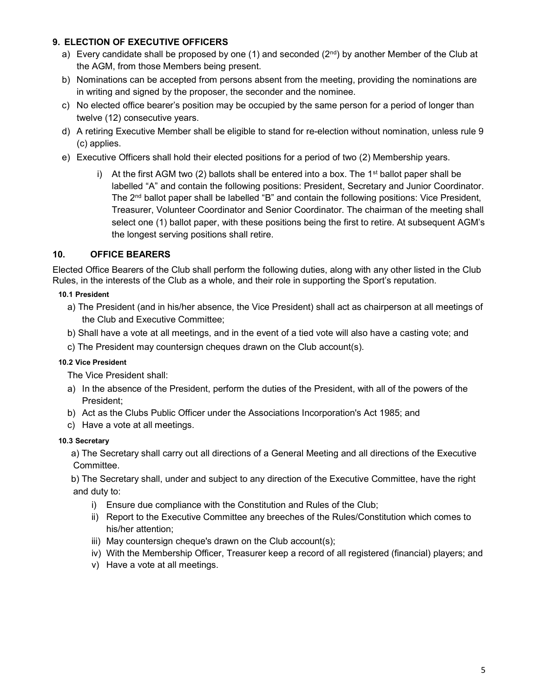# 9. ELECTION OF EXECUTIVE OFFICERS

- a) Every candidate shall be proposed by one (1) and seconded ( $2<sup>nd</sup>$ ) by another Member of the Club at the AGM, from those Members being present.
- b) Nominations can be accepted from persons absent from the meeting, providing the nominations are in writing and signed by the proposer, the seconder and the nominee.
- c) No elected office bearer's position may be occupied by the same person for a period of longer than twelve (12) consecutive years.
- d) A retiring Executive Member shall be eligible to stand for re-election without nomination, unless rule 9 (c) applies.
- e) Executive Officers shall hold their elected positions for a period of two (2) Membership years.
	- i) At the first AGM two (2) ballots shall be entered into a box. The 1<sup>st</sup> ballot paper shall be labelled "A" and contain the following positions: President, Secretary and Junior Coordinator. The 2<sup>nd</sup> ballot paper shall be labelled "B" and contain the following positions: Vice President, Treasurer, Volunteer Coordinator and Senior Coordinator. The chairman of the meeting shall select one (1) ballot paper, with these positions being the first to retire. At subsequent AGM's the longest serving positions shall retire.

# 10. OFFICE BEARERS

Elected Office Bearers of the Club shall perform the following duties, along with any other listed in the Club Rules, in the interests of the Club as a whole, and their role in supporting the Sport's reputation.

#### 10.1 President

- a) The President (and in his/her absence, the Vice President) shall act as chairperson at all meetings of the Club and Executive Committee;
- b) Shall have a vote at all meetings, and in the event of a tied vote will also have a casting vote; and
- c) The President may countersign cheques drawn on the Club account(s).

# 10.2 Vice President

The Vice President shall:

- a) In the absence of the President, perform the duties of the President, with all of the powers of the President;
- b) Act as the Clubs Public Officer under the Associations Incorporation's Act 1985; and
- c) Have a vote at all meetings.

#### 10.3 Secretary

 a) The Secretary shall carry out all directions of a General Meeting and all directions of the Executive Committee.

 b) The Secretary shall, under and subject to any direction of the Executive Committee, have the right and duty to:

- i) Ensure due compliance with the Constitution and Rules of the Club;
- ii) Report to the Executive Committee any breeches of the Rules/Constitution which comes to his/her attention;
- iii) May countersign cheque's drawn on the Club account(s);
- iv) With the Membership Officer, Treasurer keep a record of all registered (financial) players; and
- v) Have a vote at all meetings.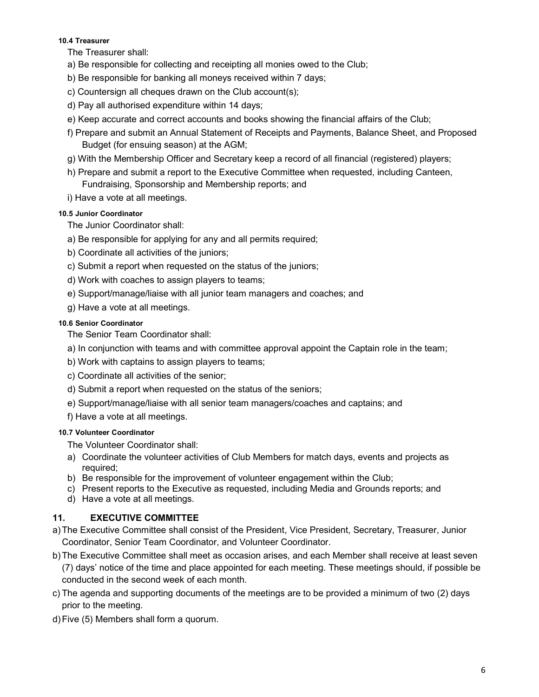#### 10.4 Treasurer

The Treasurer shall:

- a) Be responsible for collecting and receipting all monies owed to the Club;
- b) Be responsible for banking all moneys received within 7 days;
- c) Countersign all cheques drawn on the Club account(s);
- d) Pay all authorised expenditure within 14 days;
- e) Keep accurate and correct accounts and books showing the financial affairs of the Club;
- f) Prepare and submit an Annual Statement of Receipts and Payments, Balance Sheet, and Proposed Budget (for ensuing season) at the AGM;
- g) With the Membership Officer and Secretary keep a record of all financial (registered) players;
- h) Prepare and submit a report to the Executive Committee when requested, including Canteen, Fundraising, Sponsorship and Membership reports; and
- i) Have a vote at all meetings.

#### 10.5 Junior Coordinator

The Junior Coordinator shall:

- a) Be responsible for applying for any and all permits required;
- b) Coordinate all activities of the juniors;
- c) Submit a report when requested on the status of the juniors;
- d) Work with coaches to assign players to teams;
- e) Support/manage/liaise with all junior team managers and coaches; and
- g) Have a vote at all meetings.

#### 10.6 Senior Coordinator

The Senior Team Coordinator shall:

- a) In conjunction with teams and with committee approval appoint the Captain role in the team;
- b) Work with captains to assign players to teams;
- c) Coordinate all activities of the senior;
- d) Submit a report when requested on the status of the seniors;
- e) Support/manage/liaise with all senior team managers/coaches and captains; and

f) Have a vote at all meetings.

#### 10.7 Volunteer Coordinator

The Volunteer Coordinator shall:

- a) Coordinate the volunteer activities of Club Members for match days, events and projects as required;
- b) Be responsible for the improvement of volunteer engagement within the Club;
- c) Present reports to the Executive as requested, including Media and Grounds reports; and
- d) Have a vote at all meetings.

# 11. EXECUTIVE COMMITTEE

- a) The Executive Committee shall consist of the President, Vice President, Secretary, Treasurer, Junior Coordinator, Senior Team Coordinator, and Volunteer Coordinator.
- b) The Executive Committee shall meet as occasion arises, and each Member shall receive at least seven (7) days' notice of the time and place appointed for each meeting. These meetings should, if possible be conducted in the second week of each month.
- c) The agenda and supporting documents of the meetings are to be provided a minimum of two (2) days prior to the meeting.
- d) Five (5) Members shall form a quorum.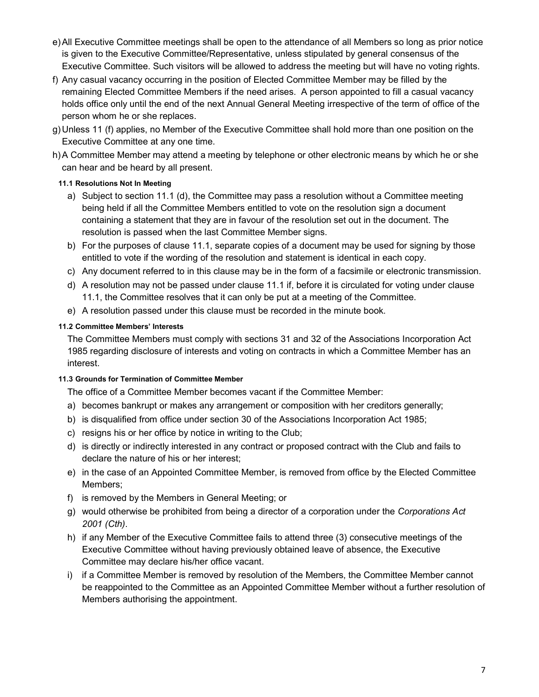- e) All Executive Committee meetings shall be open to the attendance of all Members so long as prior notice is given to the Executive Committee/Representative, unless stipulated by general consensus of the Executive Committee. Such visitors will be allowed to address the meeting but will have no voting rights.
- f) Any casual vacancy occurring in the position of Elected Committee Member may be filled by the remaining Elected Committee Members if the need arises. A person appointed to fill a casual vacancy holds office only until the end of the next Annual General Meeting irrespective of the term of office of the person whom he or she replaces.
- g) Unless 11 (f) applies, no Member of the Executive Committee shall hold more than one position on the Executive Committee at any one time.
- h) A Committee Member may attend a meeting by telephone or other electronic means by which he or she can hear and be heard by all present.

## 11.1 Resolutions Not In Meeting

- a) Subject to section 11.1 (d), the Committee may pass a resolution without a Committee meeting being held if all the Committee Members entitled to vote on the resolution sign a document containing a statement that they are in favour of the resolution set out in the document. The resolution is passed when the last Committee Member signs.
- b) For the purposes of clause 11.1, separate copies of a document may be used for signing by those entitled to vote if the wording of the resolution and statement is identical in each copy.
- c) Any document referred to in this clause may be in the form of a facsimile or electronic transmission.
- d) A resolution may not be passed under clause 11.1 if, before it is circulated for voting under clause 11.1, the Committee resolves that it can only be put at a meeting of the Committee.
- e) A resolution passed under this clause must be recorded in the minute book.

## 11.2 Committee Members' Interests

The Committee Members must comply with sections 31 and 32 of the Associations Incorporation Act 1985 regarding disclosure of interests and voting on contracts in which a Committee Member has an interest.

#### 11.3 Grounds for Termination of Committee Member

The office of a Committee Member becomes vacant if the Committee Member:

- a) becomes bankrupt or makes any arrangement or composition with her creditors generally;
- b) is disqualified from office under section 30 of the Associations Incorporation Act 1985;
- c) resigns his or her office by notice in writing to the Club;
- d) is directly or indirectly interested in any contract or proposed contract with the Club and fails to declare the nature of his or her interest;
- e) in the case of an Appointed Committee Member, is removed from office by the Elected Committee Members;
- f) is removed by the Members in General Meeting; or
- g) would otherwise be prohibited from being a director of a corporation under the Corporations Act 2001 (Cth).
- h) if any Member of the Executive Committee fails to attend three (3) consecutive meetings of the Executive Committee without having previously obtained leave of absence, the Executive Committee may declare his/her office vacant.
- i) if a Committee Member is removed by resolution of the Members, the Committee Member cannot be reappointed to the Committee as an Appointed Committee Member without a further resolution of Members authorising the appointment.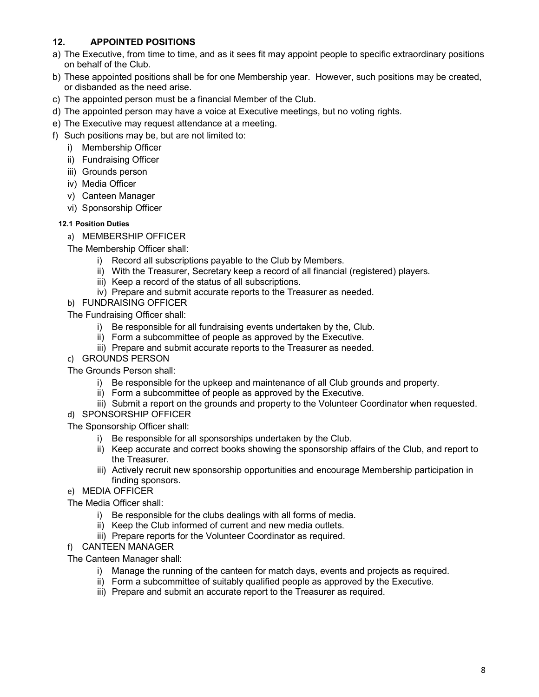# 12. APPOINTED POSITIONS

- a) The Executive, from time to time, and as it sees fit may appoint people to specific extraordinary positions on behalf of the Club.
- b) These appointed positions shall be for one Membership year. However, such positions may be created, or disbanded as the need arise.
- c) The appointed person must be a financial Member of the Club.
- d) The appointed person may have a voice at Executive meetings, but no voting rights.
- e) The Executive may request attendance at a meeting.
- f) Such positions may be, but are not limited to:
	- i) Membership Officer
	- ii) Fundraising Officer
	- iii) Grounds person
	- iv) Media Officer
	- v) Canteen Manager
	- vi) Sponsorship Officer

#### 12.1 Position Duties

a) MEMBERSHIP OFFICER

The Membership Officer shall:

- i) Record all subscriptions payable to the Club by Members.
- ii) With the Treasurer, Secretary keep a record of all financial (registered) players.
- iii) Keep a record of the status of all subscriptions.
- iv) Prepare and submit accurate reports to the Treasurer as needed.
- b) FUNDRAISING OFFICER

The Fundraising Officer shall:

- i) Be responsible for all fundraising events undertaken by the, Club.
- ii) Form a subcommittee of people as approved by the Executive.
- iii) Prepare and submit accurate reports to the Treasurer as needed.
- c) GROUNDS PERSON

The Grounds Person shall:

- i) Be responsible for the upkeep and maintenance of all Club grounds and property.
- ii) Form a subcommittee of people as approved by the Executive.
- iii) Submit a report on the grounds and property to the Volunteer Coordinator when requested.
- d) SPONSORSHIP OFFICER

The Sponsorship Officer shall:

- i) Be responsible for all sponsorships undertaken by the Club.
- ii) Keep accurate and correct books showing the sponsorship affairs of the Club, and report to the Treasurer.
- iii) Actively recruit new sponsorship opportunities and encourage Membership participation in finding sponsors.
- e) MEDIA OFFICER

The Media Officer shall:

- i) Be responsible for the clubs dealings with all forms of media.
- ii) Keep the Club informed of current and new media outlets.
- iii) Prepare reports for the Volunteer Coordinator as required.

# f) CANTEEN MANAGER

The Canteen Manager shall:

- i) Manage the running of the canteen for match days, events and projects as required.
- ii) Form a subcommittee of suitably qualified people as approved by the Executive.
- iii) Prepare and submit an accurate report to the Treasurer as required.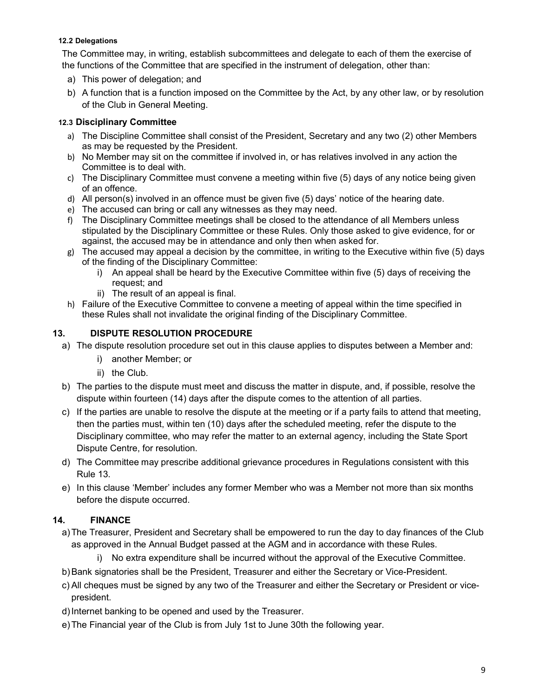#### 12.2 Delegations

The Committee may, in writing, establish subcommittees and delegate to each of them the exercise of the functions of the Committee that are specified in the instrument of delegation, other than:

- a) This power of delegation; and
- b) A function that is a function imposed on the Committee by the Act, by any other law, or by resolution of the Club in General Meeting.

## 12.3 Disciplinary Committee

- a) The Discipline Committee shall consist of the President, Secretary and any two (2) other Members as may be requested by the President.
- b) No Member may sit on the committee if involved in, or has relatives involved in any action the Committee is to deal with.
- c) The Disciplinary Committee must convene a meeting within five (5) days of any notice being given of an offence.
- d) All person(s) involved in an offence must be given five (5) days' notice of the hearing date.
- e) The accused can bring or call any witnesses as they may need.
- f) The Disciplinary Committee meetings shall be closed to the attendance of all Members unless stipulated by the Disciplinary Committee or these Rules. Only those asked to give evidence, for or against, the accused may be in attendance and only then when asked for.
- g) The accused may appeal a decision by the committee, in writing to the Executive within five (5) days of the finding of the Disciplinary Committee:
	- i) An appeal shall be heard by the Executive Committee within five (5) days of receiving the request; and
	- ii) The result of an appeal is final.
- h) Failure of the Executive Committee to convene a meeting of appeal within the time specified in these Rules shall not invalidate the original finding of the Disciplinary Committee.

## 13. DISPUTE RESOLUTION PROCEDURE

- a) The dispute resolution procedure set out in this clause applies to disputes between a Member and:
	- i) another Member; or
	- ii) the Club.
- b) The parties to the dispute must meet and discuss the matter in dispute, and, if possible, resolve the dispute within fourteen (14) days after the dispute comes to the attention of all parties.
- c) If the parties are unable to resolve the dispute at the meeting or if a party fails to attend that meeting, then the parties must, within ten (10) days after the scheduled meeting, refer the dispute to the Disciplinary committee, who may refer the matter to an external agency, including the State Sport Dispute Centre, for resolution.
- d) The Committee may prescribe additional grievance procedures in Regulations consistent with this Rule 13.
- e) In this clause 'Member' includes any former Member who was a Member not more than six months before the dispute occurred.

# 14. FINANCE

- a) The Treasurer, President and Secretary shall be empowered to run the day to day finances of the Club as approved in the Annual Budget passed at the AGM and in accordance with these Rules.
	- i) No extra expenditure shall be incurred without the approval of the Executive Committee.
- b) Bank signatories shall be the President, Treasurer and either the Secretary or Vice-President.
- c) All cheques must be signed by any two of the Treasurer and either the Secretary or President or vicepresident.
- d) Internet banking to be opened and used by the Treasurer.
- e) The Financial year of the Club is from July 1st to June 30th the following year.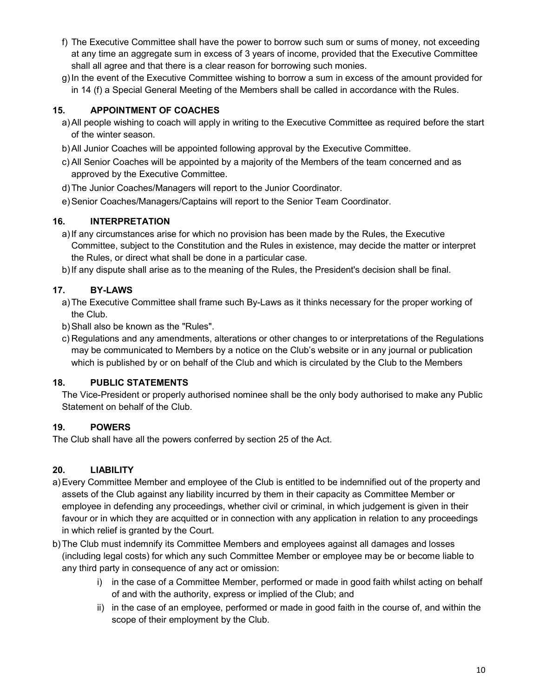- f) The Executive Committee shall have the power to borrow such sum or sums of money, not exceeding at any time an aggregate sum in excess of 3 years of income, provided that the Executive Committee shall all agree and that there is a clear reason for borrowing such monies.
- g) In the event of the Executive Committee wishing to borrow a sum in excess of the amount provided for in 14 (f) a Special General Meeting of the Members shall be called in accordance with the Rules.

# 15. APPOINTMENT OF COACHES

- a) All people wishing to coach will apply in writing to the Executive Committee as required before the start of the winter season.
- b) All Junior Coaches will be appointed following approval by the Executive Committee.
- c) All Senior Coaches will be appointed by a majority of the Members of the team concerned and as approved by the Executive Committee.
- d) The Junior Coaches/Managers will report to the Junior Coordinator.
- e) Senior Coaches/Managers/Captains will report to the Senior Team Coordinator.

# 16. INTERPRETATION

- a) If any circumstances arise for which no provision has been made by the Rules, the Executive Committee, subject to the Constitution and the Rules in existence, may decide the matter or interpret the Rules, or direct what shall be done in a particular case.
- b) If any dispute shall arise as to the meaning of the Rules, the President's decision shall be final.

# 17. BY-LAWS

- a) The Executive Committee shall frame such By-Laws as it thinks necessary for the proper working of the Club.
- b) Shall also be known as the "Rules".
- c) Regulations and any amendments, alterations or other changes to or interpretations of the Regulations may be communicated to Members by a notice on the Club's website or in any journal or publication which is published by or on behalf of the Club and which is circulated by the Club to the Members

# 18. PUBLIC STATEMENTS

The Vice-President or properly authorised nominee shall be the only body authorised to make any Public Statement on behalf of the Club.

# 19. POWERS

The Club shall have all the powers conferred by section 25 of the Act.

# 20. LIABILITY

- a) Every Committee Member and employee of the Club is entitled to be indemnified out of the property and assets of the Club against any liability incurred by them in their capacity as Committee Member or employee in defending any proceedings, whether civil or criminal, in which judgement is given in their favour or in which they are acquitted or in connection with any application in relation to any proceedings in which relief is granted by the Court.
- b) The Club must indemnify its Committee Members and employees against all damages and losses (including legal costs) for which any such Committee Member or employee may be or become liable to any third party in consequence of any act or omission:
	- i) in the case of a Committee Member, performed or made in good faith whilst acting on behalf of and with the authority, express or implied of the Club; and
	- ii) in the case of an employee, performed or made in good faith in the course of, and within the scope of their employment by the Club.